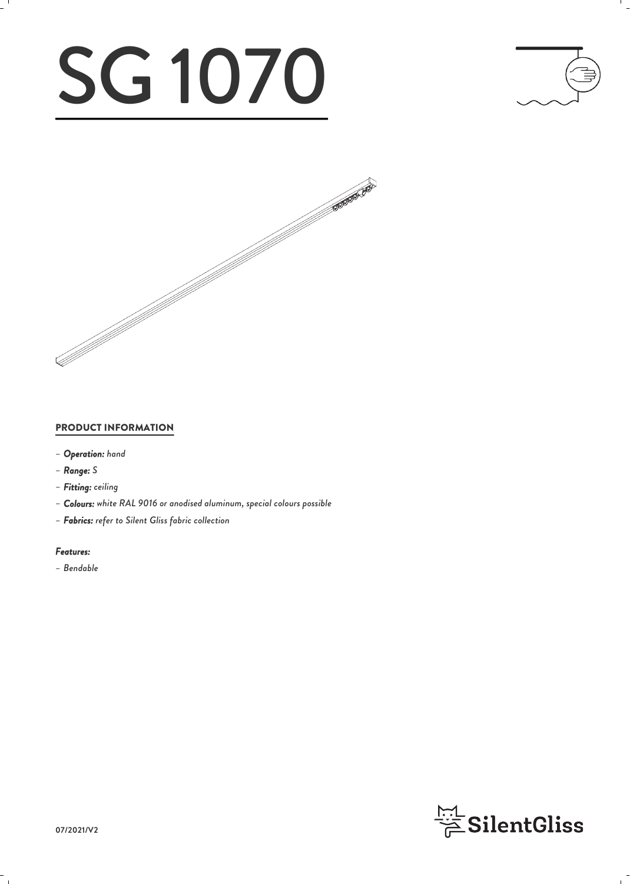# SG 1070





### PRODUCT INFORMATION

- *– Operation: hand*
- *– Range: S*
- *– Fitting: ceiling*
- *– Colours: white RAL 9016 or anodised aluminum, special colours possible*
- *– Fabrics: refer to Silent Gliss fabric collection*

#### *Features:*

*– Bendable*

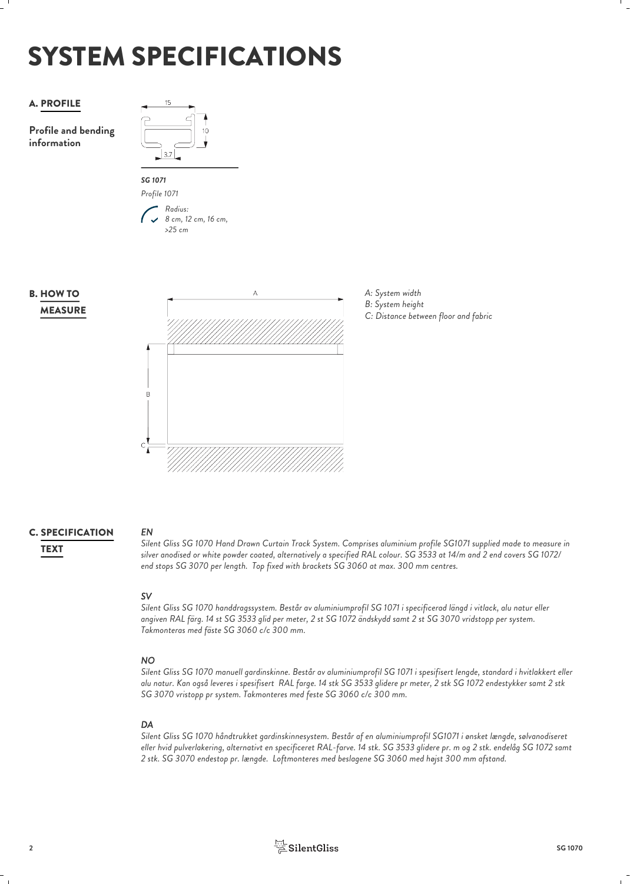## SYSTEM SPECIFICATIONS



*EN*

### **C. SPECIFICATION** EN

*Silent Gliss SG 1070 Hand Drawn Curtain Track System. Comprises aluminium profile SG1071 supplied made to measure in silver anodised or white powder coated, alternatively a specified RAL colour. SG 3533 at 14/m and 2 end covers SG 1072/* TEXT *end stops SG 3070 per length. Top fixed with brackets SG 3060 at max. 300 mm centres.*

*SV Silent Gliss SG 1070 handdragssystem. Består av aluminiumprofil SG 1071 i specificerad längd i vitlack, alu natur eller angiven RAL färg. 14 st SG 3533 glid per meter, 2 st SG 1072 ändskydd samt 2 st SG 3070 vridstopp per system. Takmonteras med fäste SG 3060 c/c 300 mm.*

### *NO*

*Silent Gliss SG 1070 manuell gardinskinne. Består av aluminiumprofil SG 1071 i spesifisert lengde, standard i hvitlakkert eller alu natur. Kan også leveres i spesifisert RAL farge. 14 stk SG 3533 glidere pr meter, 2 stk SG 1072 endestykker samt 2 stk SG 3070 vristopp pr system. Takmonteres med feste SG 3060 c/c 300 mm.*

### *DA*

*Silent Gliss SG 1070 håndtrukket gardinskinnesystem. Består af en aluminiumprofil SG1071 i ønsket længde, sølvanodiseret eller hvid pulverlakering, alternativt en specificeret RAL-farve. 14 stk. SG 3533 glidere pr. m og 2 stk. endelåg SG 1072 samt 2 stk. SG 3070 endestop pr. længde. Loftmonteres med beslagene SG 3060 med højst 300 mm afstand.*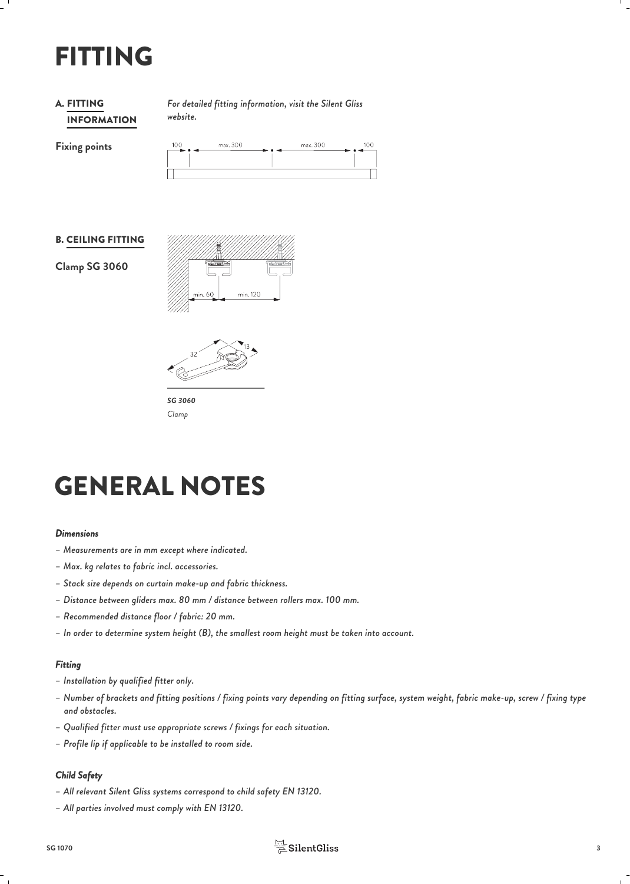### FITTING

### INFORMATION **A. FITTING**

*For detailed fitting information, visit the Silent Gliss* FITTING *website.*

**Fixing points**

| 100<br>$\rightarrow \rightarrow \rightarrow$ | max. 300 | ►•- | max. 300 | nc |
|----------------------------------------------|----------|-----|----------|----|
|                                              |          |     |          |    |
|                                              |          |     |          |    |

#### B. CEILING FITTING

**Clamp SG 3060**





*SG 3060 Clamp*

### GENERAL NOTES

#### *Dimensions*

- *– Measurements are in mm except where indicated.*
- *– Max. kg relates to fabric incl. accessories.*
- *– Stack size depends on curtain make-up and fabric thickness.*
- *– Distance between gliders max. 80 mm / distance between rollers max. 100 mm.*
- *– Recommended distance floor / fabric: 20 mm.*
- *– In order to determine system height (B), the smallest room height must be taken into account.*

#### *Fitting*

- *– Installation by qualified fitter only.*
- *– Number of brackets and fitting positions / fixing points vary depending on fitting surface, system weight, fabric make-up, screw / fixing type and obstacles.*
- *– Qualified fitter must use appropriate screws / fixings for each situation.*
- *– Profile lip if applicable to be installed to room side.*

### *Child Safety*

- *– All relevant Silent Gliss systems correspond to child safety EN 13120.*
- *– All parties involved must comply with EN 13120.*

### **SG 1070 3**